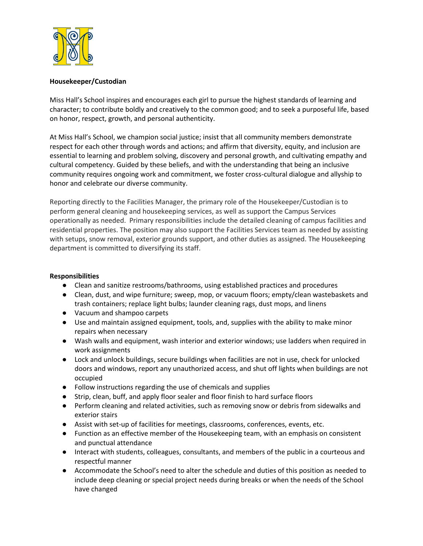

## **Housekeeper/Custodian**

Miss Hall's School inspires and encourages each girl to pursue the highest standards of learning and character; to contribute boldly and creatively to the common good; and to seek a purposeful life, based on honor, respect, growth, and personal authenticity.

At Miss Hall's School, we champion social justice; insist that all community members demonstrate respect for each other through words and actions; and affirm that diversity, equity, and inclusion are essential to learning and problem solving, discovery and personal growth, and cultivating empathy and cultural competency. Guided by these beliefs, and with the understanding that being an inclusive community requires ongoing work and commitment, we foster cross-cultural dialogue and allyship to honor and celebrate our diverse community.

Reporting directly to the Facilities Manager, the primary role of the Housekeeper/Custodian is to perform general cleaning and housekeeping services, as well as support the Campus Services operationally as needed. Primary responsibilities include the detailed cleaning of campus facilities and residential properties. The position may also support the Facilities Services team as needed by assisting with setups, snow removal, exterior grounds support, and other duties as assigned. The Housekeeping department is committed to diversifying its staff.

## **Responsibilities**

- Clean and sanitize restrooms/bathrooms, using established practices and procedures
- Clean, dust, and wipe furniture; sweep, mop, or vacuum floors; empty/clean wastebaskets and trash containers; replace light bulbs; launder cleaning rags, dust mops, and linens
- Vacuum and shampoo carpets
- Use and maintain assigned equipment, tools, and, supplies with the ability to make minor repairs when necessary
- Wash walls and equipment, wash interior and exterior windows; use ladders when required in work assignments
- Lock and unlock buildings, secure buildings when facilities are not in use, check for unlocked doors and windows, report any unauthorized access, and shut off lights when buildings are not occupied
- Follow instructions regarding the use of chemicals and supplies
- Strip, clean, buff, and apply floor sealer and floor finish to hard surface floors
- Perform cleaning and related activities, such as removing snow or debris from sidewalks and exterior stairs
- Assist with set-up of facilities for meetings, classrooms, conferences, events, etc.
- Function as an effective member of the Housekeeping team, with an emphasis on consistent and punctual attendance
- Interact with students, colleagues, consultants, and members of the public in a courteous and respectful manner
- Accommodate the School's need to alter the schedule and duties of this position as needed to include deep cleaning or special project needs during breaks or when the needs of the School have changed